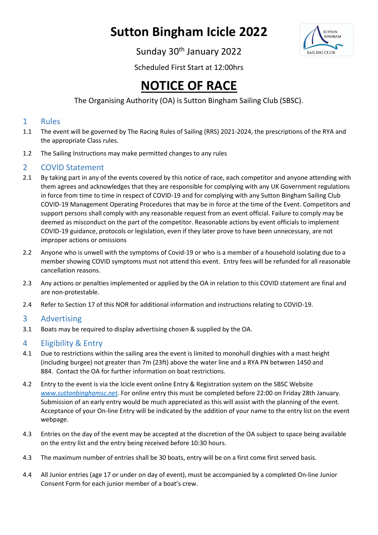# **Sutton Bingham Icicle 2022**



Sunday 30<sup>th</sup> January 2022

Scheduled First Start at 12:00hrs

## **NOTICE OF RACE**

## The Organising Authority (OA) is Sutton Bingham Sailing Club (SBSC).

#### 1 Rules

- 1.1 The event will be governed by The Racing Rules of Sailing (RRS) 2021-2024, the prescriptions of the RYA and the appropriate Class rules.
- 1.2 The Sailing Instructions may make permitted changes to any rules

### 2 COVID Statement

- 2.1 By taking part in any of the events covered by this notice of race, each competitor and anyone attending with them agrees and acknowledges that they are responsible for complying with any UK Government regulations in force from time to time in respect of COVID-19 and for complying with any Sutton Bingham Sailing Club COVID-19 Management Operating Procedures that may be in force at the time of the Event. Competitors and support persons shall comply with any reasonable request from an event official. Failure to comply may be deemed as misconduct on the part of the competitor. Reasonable actions by event officials to implement COVID-19 guidance, protocols or legislation, even if they later prove to have been unnecessary, are not improper actions or omissions
- 2.2 Anyone who is unwell with the symptoms of Covid-19 or who is a member of a household isolating due to a member showing COVID symptoms must not attend this event. Entry fees will be refunded for all reasonable cancellation reasons.
- 2.3 Any actions or penalties implemented or applied by the OA in relation to this COVID statement are final and are non-protestable.
- 2.4 Refer to Section 17 of this NOR for additional information and instructions relating to COVID-19.

## 3 Advertising

3.1 Boats may be required to display advertising chosen & supplied by the OA.

## 4 Eligibility & Entry

- 4.1 Due to restrictions within the sailing area the event is limited to monohull dinghies with a mast height (including burgee) not greater than 7m (23ft) above the water line and a RYA PN between 1450 and 884. Contact the OA for further information on boat restrictions.
- 4.2 Entry to the event is via the Icicle event online Entry & Registration system on the SBSC Website *[www.suttonbinghamsc.net](http://www.suttonbinghamsc.net/)*. For online entry this must be completed before 22:00 on Friday 28th January. Submission of an early entry would be much appreciated as this will assist with the planning of the event. Acceptance of your On-line Entry will be indicated by the addition of your name to the entry list on the event webpage.
- 4.3 Entries on the day of the event may be accepted at the discretion of the OA subject to space being available on the entry list and the entry being received before 10:30 hours.
- 4.3 The maximum number of entries shall be 30 boats, entry will be on a first come first served basis.
- 4.4 All Junior entries (age 17 or under on day of event), must be accompanied by a completed On-line Junior Consent Form for each junior member of a boat's crew.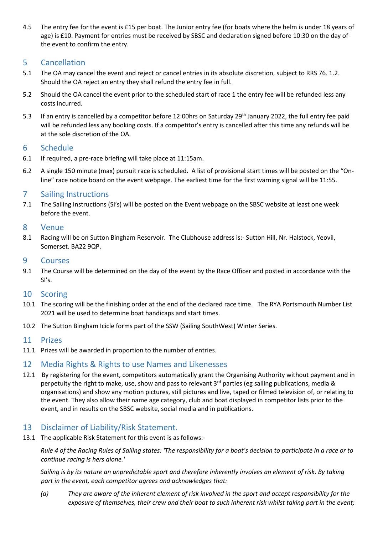4.5 The entry fee for the event is £15 per boat. The Junior entry fee (for boats where the helm is under 18 years of age) is £10. Payment for entries must be received by SBSC and declaration signed before 10:30 on the day of the event to confirm the entry.

#### 5 Cancellation

- 5.1 The OA may cancel the event and reject or cancel entries in its absolute discretion, subject to RRS 76. 1.2. Should the OA reject an entry they shall refund the entry fee in full.
- 5.2 Should the OA cancel the event prior to the scheduled start of race 1 the entry fee will be refunded less any costs incurred.
- 5.3 If an entry is cancelled by a competitor before 12:00hrs on Saturday 29<sup>th</sup> January 2022, the full entry fee paid will be refunded less any booking costs. If a competitor's entry is cancelled after this time any refunds will be at the sole discretion of the OA.

#### 6 Schedule

- 6.1 If required, a pre-race briefing will take place at 11:15am.
- 6.2 A single 150 minute (max) pursuit race is scheduled. A list of provisional start times will be posted on the "Online" race notice board on the event webpage. The earliest time for the first warning signal will be 11:55.

#### 7 Sailing Instructions

7.1 The Sailing Instructions (SI's) will be posted on the Event webpage on the SBSC website at least one week before the event.

#### 8 Venue

8.1 Racing will be on Sutton Bingham Reservoir. The Clubhouse address is:- Sutton Hill, Nr. Halstock, Yeovil, Somerset. BA22 9QP.

#### 9 Courses

9.1 The Course will be determined on the day of the event by the Race Officer and posted in accordance with the SI's.

#### 10 Scoring

- 10.1 The scoring will be the finishing order at the end of the declared race time. The RYA Portsmouth Number List 2021 will be used to determine boat handicaps and start times.
- 10.2 The Sutton Bingham Icicle forms part of the SSW (Sailing SouthWest) Winter Series.

#### 11 Prizes

11.1 Prizes will be awarded in proportion to the number of entries.

#### 12 Media Rights & Rights to use Names and Likenesses

12.1 By registering for the event, competitors automatically grant the Organising Authority without payment and in perpetuity the right to make, use, show and pass to relevant  $3<sup>rd</sup>$  parties (eg sailing publications, media & organisations) and show any motion pictures, still pictures and live, taped or filmed television of, or relating to the event. They also allow their name age category, club and boat displayed in competitor lists prior to the event, and in results on the SBSC website, social media and in publications.

#### 13 Disclaimer of Liability/Risk Statement.

13.1 The applicable Risk Statement for this event is as follows:-

*Rule 4 of the Racing Rules of Sailing states: 'The responsibility for a boat's decision to participate in a race or to continue racing is hers alone.'* 

*Sailing is by its nature an unpredictable sport and therefore inherently involves an element of risk. By taking part in the event, each competitor agrees and acknowledges that:* 

*(a) They are aware of the inherent element of risk involved in the sport and accept responsibility for the exposure of themselves, their crew and their boat to such inherent risk whilst taking part in the event;*